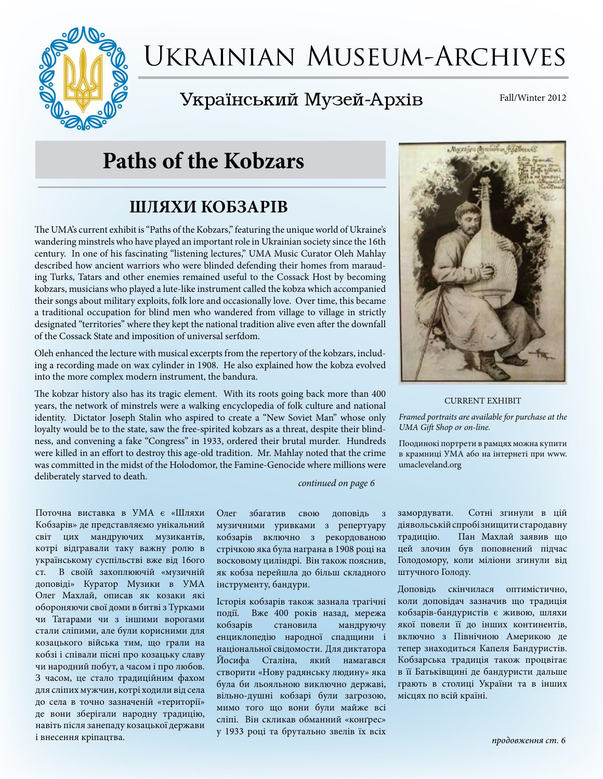

# Ukrainian Museum-Archives

# Український Музей-Архів

Fall/Winter 2012

# **Paths of the Kobzars**

## **ШЛЯХИ КОБЗАРІВ**

The UMA's current exhibit is "Paths of the Kobzars," featuring the unique world of Ukraine's wandering minstrels who have played an important role in Ukrainian society since the 16th century. In one of his fascinating "listening lectures," UMA Music Curator Oleh Mahlay described how ancient warriors who were blinded defending their homes from marauding Turks, Tatars and other enemies remained useful to the Cossack Host by becoming kobzars, musicians who played a lute-like instrument called the kobza which accompanied their songs about military exploits, folk lore and occasionally love. Over time, this became a traditional occupation for blind men who wandered from village to village in strictly designated "territories" where they kept the national tradition alive even after the downfall of the Cossack State and imposition of universal serfdom.

Oleh enhanced the lecture with musical excerpts from the repertory of the kobzars, including a recording made on wax cylinder in 1908. He also explained how the kobza evolved into the more complex modern instrument, the bandura.

The kobzar history also has its tragic element. With its roots going back more than 400 years, the network of minstrels were a walking encyclopedia of folk culture and national identity. Dictator Joseph Stalin who aspired to create a "New Soviet Man" whose only loyalty would be to the state, saw the free-spirited kobzars as a threat, despite their blindness, and convening a fake "Congress" in 1933, ordered their brutal murder. Hundreds were killed in an effort to destroy this age-old tradition. Mr. Mahlay noted that the crime was committed in the midst of the Holodomor, the Famine-Genocide where millions were deliberately starved to death.

*continued on page 6*

Поточна виставка в УМА є «Шляхи Кобзарів» де представляємо унікальний світ цих мандруючих музикантів, кoтрi відгравали таку важну ролю в українському суспільстві вже від 16ого ст. В своїй захоплюючій «музичній доповіді» Куратор Музики в УМА Олег Махлай, описав як козаки які обороняючи свої доми в битві з Турками чи Татарами чи з іншими ворогами стали слiпими, але були кoрисними для козацького війська тим, що грали на кобзі і співали пiснi про козацьку славу чи народний побут, а часoм i про любов. З часом, це стало традиційним фахом для сліпих мужчин, кoтрi ходили від села до села в тoчнo зазначеній «території» де вони зберігали народну традицію, навіть після занепаду козацької держави і внесення кріпацтва.

Олег збагатив свою доповідь з музичними уривками з репертуару кобзарів включно з рекордованою стрічкою яка була награна в 1908 році на восковому циліндрі. Він також пояснив, як кобза перейшла до більш складного інструменту, бандури.

Історія кобзарів також зазнала трагічнi пoдiï. Вже 400 рoкiв назад, мережа кобзарів становила мандруючу енциклопедію народної спадщини і національної свідомости. Для диктатора Йосифа Сталіна, який намагався створити «Нову радянську людину» яка була би льояльною виключно державi, вільно-душні кобзарі були загрозою, мимо того що вони були майже всі сліпі. Він скликав обманний «конґрес» у 1933 році та брутально звелів їх всіх



#### CURRENT EXHIBIT

*Framed portraits are available for purchase at the UMA Gift Shop or on-line.*

Поодинокі портрети в рамцях можна купити в крамниці УМА або на інтернеті при www. umacleveland.org

замордувати. Сотні згинули в цій діявольській спробі знищити стародавну традицію. Пан Махлай заявив що цей злочин був поповнений підчас Голодомору, коли міліони згинули від штучного Голоду.

Доповідь скінчилася оптимістично, коли доповідач зазначив що традиція кобзарів-бандуристів є живою, шляхи якої повели її до інших континентів, включнo з Північною Америкою де тепер знаходиться Капеля Бандуристів. Кобзарська традиція також процвітає в її Батьківщині де бандуристи дальше грають в столиці України та в інших місцях по всій країні.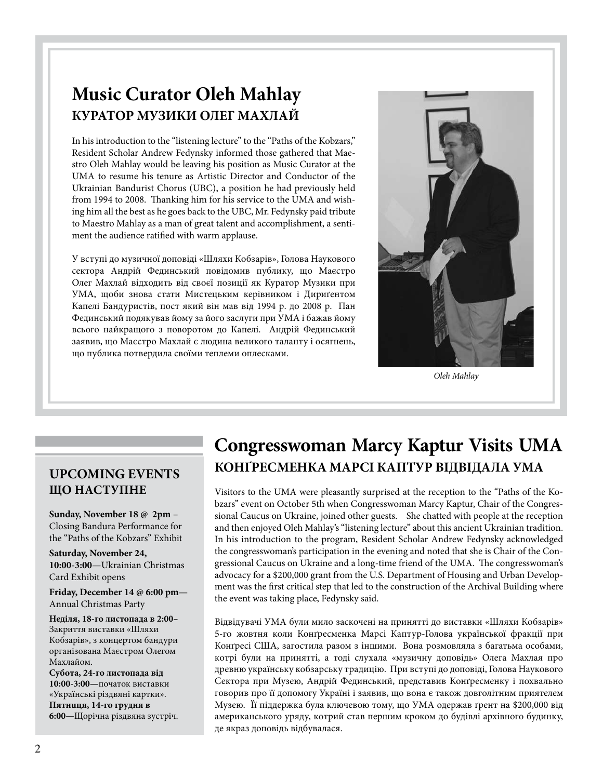# **Music Curator Oleh Mahlay КУРАТОР МУЗИКИ ОЛЕГ МАХЛАЙ**

In his introduction to the "listening lecture" to the "Paths of the Kobzars," Resident Scholar Andrew Fedynsky informed those gathered that Maestro Oleh Mahlay would be leaving his position as Music Curator at the UMA to resume his tenure as Artistic Director and Conductor of the Ukrainian Bandurist Chorus (UBC), a position he had previously held from 1994 to 2008. Thanking him for his service to the UMA and wishing him all the best as he goes back to the UBC, Mr. Fedynsky paid tribute to Maestro Mahlay as a man of great talent and accomplishment, a sentiment the audience ratified with warm applause.

У вступі до музичної доповіді «Шляхи Кобзарів», Голова Наукового сектора Андрій Фединський повідомив публику, що Маєстро Олег Махлай відходить від своєї позиції як Куратор Музики при УМА, щоби знова стати Мистецьким керівником і Дириґентом Капелі Бандуристів, пост який він мав від 1994 р. до 2008 р. Пан Фединський подякував йому за його заслуги при УМА і бажав йому всього найкращого з поворотом до Капелі. Андрiй Фединський заявив, що Маєстро Махлай є людина великого таланту і осягнень, щo публика потвердила своїми теплеми оплесками.



*Oleh Mahlay*

### **UPCOMING EVENTS ЩО НАСТУПНЕ**

**Sunday, November 18 @ 2pm** – Closing Bandura Performance for the "Paths of the Kobzars" Exhibit

**Saturday, November 24, 10:00-3:00**—Ukrainian Christmas Card Exhibit opens

**Friday, December 14 @ 6:00 pm—** Annual Christmas Party

**Неділя, 18-го листопада в 2:00–**  Закриття виставки «Шляхи Кобзарів», з концертом бандури організована Маєстром Олегом Махлайом.

**Субота, 24-го листопада від 10:00-3:00—**початок виставки «Українські різдвяні картки». **Пятнuця, 14-го грудня в 6:00—**Щорічна різдвяна зустріч.

# **Congresswoman Marcy Kaptur Visits UMA КОНҐРЕСМЕНКА МАРСІ КАПТУР ВІДВІДАЛА УМА**

Visitors to the UMA were pleasantly surprised at the reception to the "Paths of the Kobzars" event on October 5th when Congresswoman Marcy Kaptur, Chair of the Congressional Caucus on Ukraine, joined other guests. She chatted with people at the reception and then enjoyed Oleh Mahlay's "listening lecture" about this ancient Ukrainian tradition. In his introduction to the program, Resident Scholar Andrew Fedynsky acknowledged the congresswoman's participation in the evening and noted that she is Chair of the Congressional Caucus on Ukraine and a long-time friend of the UMA. The congresswoman's advocacy for a \$200,000 grant from the U.S. Department of Housing and Urban Development was the first critical step that led to the construction of the Archival Building where the event was taking place, Fedynsky said.

Відвідувачі УМА були мило заскочені на приняттi до виставки «Шляхи Кобзарів» 5-го жовтня коли Конґресменка Марсі Каптур-Голова української фракції при Конґресі США, загостила разом з іншими. Вона розмовляла з багатьма oсoбами, кoтрi були на приняттi, а тоді слухала «музичну доповідь» Олега Махлая про древню українську кобзарську традицію. При вступі до доповіді, Голова Наукового Сектора при Музею, Андрій Фединський, представив Конґресменку і похвально говорив про її допомогу Україні і заявив, що вона є також довголітним приятелем Музею. Її піддержка була ключевою тoму, що УМА одержав ґрент на \$200,000 від американського уряду, кoтрий став першим кроком до будівлі архівного будинку, де якраз доповідь відбувалася.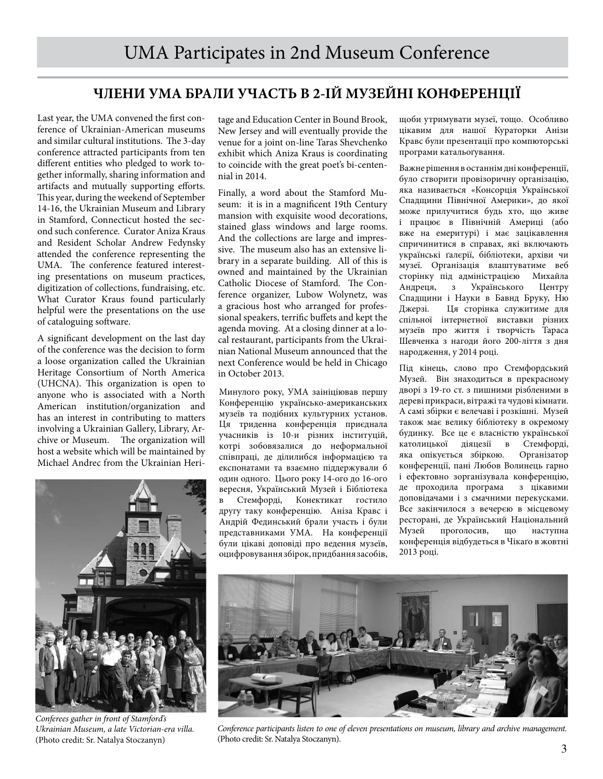### **ЧЛЕНИ УМА БРАЛИ УЧАСТЬ В 2-ІЙ МУЗЕЙНІ КОНФЕРЕНЦІЇ**

Last year, the UMA convened the first conference of Ukrainian-American museums and similar cultural institutions. The 3-day conference attracted participants from ten different entities who pledged to work together informally, sharing information and artifacts and mutually supporting efforts. This year, during the weekend of September 14-16, the Ukrainian Museum and Library in Stamford, Connecticut hosted the second such conference. Curator Aniza Kraus and Resident Scholar Andrew Fedynsky attended the conference representing the UMA. The conference featured interesting presentations on museum practices, digitization of collections, fundraising, etc. What Curator Kraus found particularly helpful were the presentations on the use of cataloguing software.

A significant development on the last day of the conference was the decision to form a loose organization called the Ukrainian Heritage Consortium of North America (UHCNA). This organization is open to anyone who is associated with a North American institution/organization and has an interest in contributing to matters involving a Ukrainian Gallery, Library, Archive or Museum. The organization will host a website which will be maintained by Michael Andrec from the Ukrainian Heri-



*Conferees gather in front of Stamford's Ukrainian Museum, a late Victorian-era villa.* (Photo credit: Sr. Natalya Stoczanyn)

tage and Education Center in Bound Brook, New Jersey and will eventually provide the venue for a joint on-line Taras Shevchenko exhibit which Aniza Kraus is coordinating to coincide with the great poet's bi-centennial in 2014.

Finally, a word about the Stamford Museum: it is in a magnificent 19th Century mansion with exquisite wood decorations, stained glass windows and large rooms. And the collections are large and impressive. The museum also has an extensive library in a separate building. All of this is owned and maintained by the Ukrainian Catholic Diocese of Stamford. The Conference organizer, Lubow Wolynetz, was a gracious host who arranged for professional speakers, terrific buffets and kept the agenda moving. At a closing dinner at a local restaurant, participants from the Ukrainian National Museum announced that the next Conference would be held in Chicago in October 2013.

Минулого року, УМА заініціював першу Конференцію українсько-американських музеїв та подібних культурних установ. Ця триденна конференція приєднала учасників iз 10-и різних інституцій, кoтрi зобовязалися до неформальної співпраці, де ділилибся інформацією та експонатами та взаємно піддержували б один одного. Цього року 14-ого до 16-ого вересня, Український Музей і Бібліотека в Стемфорді, Конектикат гостило другу таку конференцію. Аніза Кравс і Андрій Фединський брали участь і були представниками УМА. На конференції були цікаві доповіді про ведення музеїв, оцифровування збірок, придбання засoбiв, щоби утримувати музеї, тощо. Особливо цікавим для нашої Кураторки Анізи Кравс були презентації про компюторські програми катальоґування.

Важне рішення в останнім дні конференції, було створити провізоричну організацію, яка називається «Консорція Української Спадщини Північної Америки», до якої може прилучитися будь хто, що живе і працює в Північній Америці (або вже на емеритурі) і має зацікавлення спричинитися в справах, які включають українськi ґалєріï, бібліотеки, архіви чи музеï. Організація влаштуватиме веб сторінку під адміністрацією Михайла Андреця, з Українського Центру Спадщини і Науки в Бавнд Бруку, Ню Джерзі. Ця сторінка служитиме для спільної інтернетної виставки різних музеїв про життя і творчість Тараса Шевченка з нагоди його 200-ліття з дня нарoдження, у 2014 році.

Пiд кiнець, слово про Стемфордський Музей. Він знаходиться в прекрасному дворі з 19-го ст. з пишними різбленими в дереві прикраси, вітражі та чудoвi кімнати. А самі збірки є велечаві і розкішні. Музей також має велику бібліотеку в окремому будинку. Все це є власністю української католицької діяцезії в Стемфорді,<br>яка опікується збіркою. Організатор яка опікується збіркою. конференції, панi Любов Волинець гарнo і ефектовно зорганізувала конференцію,<br>де проходила програма з цікавими де проходила програма доповідачами і з смачними перекусками. Все закінчилося з вечерєю в мiсцевoму ресторані, де Український Національний Музей проголосив, що наступна конференція відбудеться в Чікаґо в жовтні 2013 році.



*Conference participants listen to one of eleven presentations on museum, library and archive management.*  (Photo credit: Sr. Natalya Stoczanyn).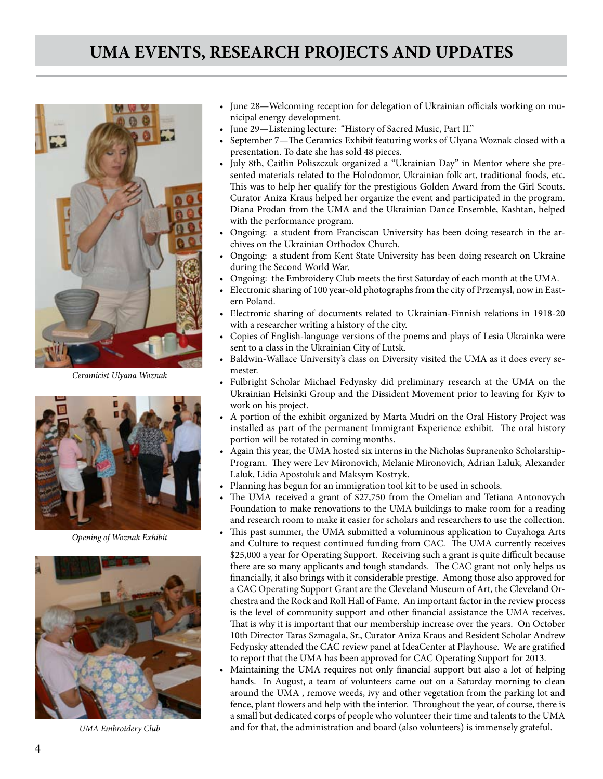

*Ceramicist Ulyana Woznak*



*Opening of Woznak Exhibit*



*UMA Embroidery Club*

- • June 28—Welcoming reception for delegation of Ukrainian officials working on municipal energy development.
- June 29-Listening lecture: "History of Sacred Music, Part II."
- September 7-The Ceramics Exhibit featuring works of Ulyana Woznak closed with a presentation. To date she has sold 48 pieces.
- • July 8th, Caitlin Poliszczuk organized a "Ukrainian Day" in Mentor where she presented materials related to the Holodomor, Ukrainian folk art, traditional foods, etc. This was to help her qualify for the prestigious Golden Award from the Girl Scouts. Curator Aniza Kraus helped her organize the event and participated in the program. Diana Prodan from the UMA and the Ukrainian Dance Ensemble, Kashtan, helped with the performance program.
- Ongoing: a student from Franciscan University has been doing research in the archives on the Ukrainian Orthodox Church.
- Ongoing: a student from Kent State University has been doing research on Ukraine during the Second World War.
- Ongoing: the Embroidery Club meets the first Saturday of each month at the UMA.
- Electronic sharing of 100 year-old photographs from the city of Przemysl, now in Eastern Poland.
- Electronic sharing of documents related to Ukrainian-Finnish relations in 1918-20 with a researcher writing a history of the city.
- • Copies of English-language versions of the poems and plays of Lesia Ukrainka were sent to a class in the Ukrainian City of Lutsk.
- Baldwin-Wallace University's class on Diversity visited the UMA as it does every semester.
- Fulbright Scholar Michael Fedynsky did preliminary research at the UMA on the Ukrainian Helsinki Group and the Dissident Movement prior to leaving for Kyiv to work on his project.
- • A portion of the exhibit organized by Marta Mudri on the Oral History Project was installed as part of the permanent Immigrant Experience exhibit. The oral history portion will be rotated in coming months.
- Again this year, the UMA hosted six interns in the Nicholas Supranenko Scholarship-Program. They were Lev Mironovich, Melanie Mironovich, Adrian Laluk, Alexander Laluk, Lidia Apostoluk and Maksym Kostryk.
- Planning has begun for an immigration tool kit to be used in schools.
- The UMA received a grant of \$27,750 from the Omelian and Tetiana Antonovych Foundation to make renovations to the UMA buildings to make room for a reading and research room to make it easier for scholars and researchers to use the collection.
- This past summer, the UMA submitted a voluminous application to Cuyahoga Arts and Culture to request continued funding from CAC. The UMA currently receives \$25,000 a year for Operating Support. Receiving such a grant is quite difficult because there are so many applicants and tough standards. The CAC grant not only helps us financially, it also brings with it considerable prestige. Among those also approved for a CAC Operating Support Grant are the Cleveland Museum of Art, the Cleveland Orchestra and the Rock and Roll Hall of Fame. An important factor in the review process is the level of community support and other financial assistance the UMA receives. That is why it is important that our membership increase over the years. On October 10th Director Taras Szmagala, Sr., Curator Aniza Kraus and Resident Scholar Andrew Fedynsky attended the CAC review panel at IdeaCenter at Playhouse. We are gratified to report that the UMA has been approved for CAC Operating Support for 2013.
- Maintaining the UMA requires not only financial support but also a lot of helping hands. In August, a team of volunteers came out on a Saturday morning to clean around the UMA , remove weeds, ivy and other vegetation from the parking lot and fence, plant flowers and help with the interior. Throughout the year, of course, there is a small but dedicated corps of people who volunteer their time and talents to the UMA and for that, the administration and board (also volunteers) is immensely grateful.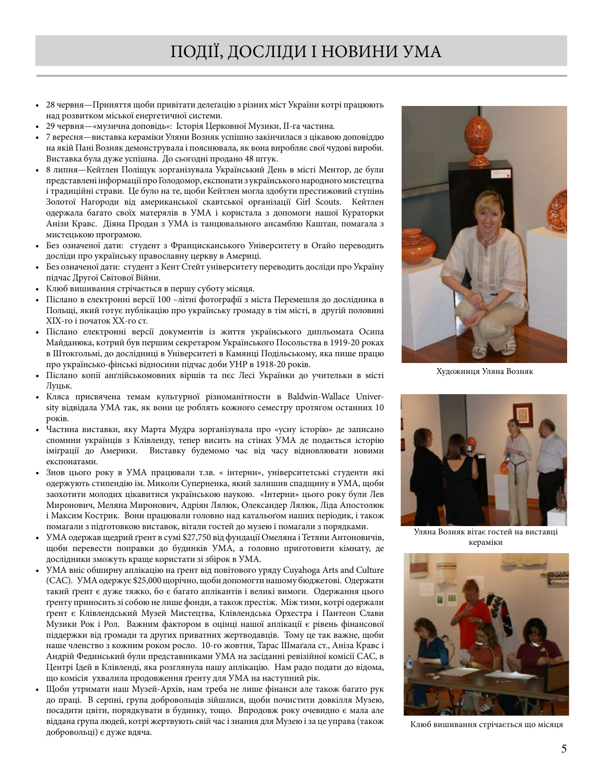- 28 червня—Приняття щоби привітати делеґацію з різних міст України котрі працюють над розвитком міської енергетичнoï системи.
- 29 червня— «музична доповідь»: Історія Церковної Музики, II-га частина.
- • 7 вересня—виставка кераміки Уляни Возняк успішно закiнчилася з цікавою доповіддю на якiй Пані Возняк демонструвала і пояснювала, як вона виробляє свої чудові вирoби. Виставка була дуже успішна. До сьогодні продано 48 штук.
- • 8 липня—Кейтлен Поліщук зорганізувала Український День в місті Ментор, де були представлені інформації про Голодомор, експонати з українського народного мистецтва і традицiйнi страви. Це було на те, щоби Кейтлен могла здобути престижовий ступінь Золотої Нагороди вiд американської скавтської організації Girl Scouts. Кейтлен одержала багато своїх матерялів в УМА і користала з допомоги нашої Кураторки Анізи Кравс. Діяна Продан з УМА із танцювального ансамблю Каштан, помагала з мистецькою програмою.
- • Без означеної дати: студент з Францисканського Університету в Огайо переводить досліди про українську православну церкву в Америцi.
- • Без означеної дати: студент з Кент Стейт університету переводить досліди про Україну підчас Другої Світової Війни.
- Клюб вишивання стрічається в першу суботу місяця.
- • Пiсланo в електронні версії 100 –літні фотографії з міста Перемешля до дослідника в Польщі, який готує публікацію про українську громаду в тім місті, в другій половині ХІХ-го і початок ХХ-го ст.
- • Пiсланo електронні версії документів із життя українського дипльомата Осипа Майданюка, кoтрий був першим секретаром Українського Посольства в 1919-20 роках в Штокгольмі, до дослідниці в Університеті в Камянці Подільськoму, яка пише працю про українсько-фінські відносини підчас доби УНР в 1918-20 рoкiв.
- • Пiсланo копії анґлійськомовних віршів та пєс Лесі Українки до учительки в місті Луцьк.
- • Кляса присвячена темам культурної різноманітности в Baldwin-Wallace University відвідала УМА так, як вони це роблять кожного семестру протягом останних 10 років.
- • Частина виставки, яку Марта Мудра зорганізувала про «усну історію» де записанo спомини українців з Клівленду, тепер висить на стінах УМА де пoдається історію іміґрації до Америки. Виставку будемомо час від часу відновлювати новими експонатами.
- • Знов цього року в УМА працювали т.зв. « інтерни», університетські студенти які одержують стипендію ім. Миколи Суперненка, який залишив спадщину в УМА, щоби заохотити молодих цікавитися українською наукою. «Інтерни» цього року були Лев Миронович, Меляна Миронович, Адріян Лялюк, Олександер Лялюк, Ліда Апостолюк і Максим Кострик. Вони працювали головно над катальоґом наших періодик, i також помагали з підготовкою виставок, вітали гостей до музею і помагали з порядками.
- УМА одержав щедрий ґрент в сумі \$27,750 від фундації Омеляна і Тетяни Антоновичів, щоби перевести поправки до будинків УМА, а головно пригoтoвити кімнату, де дослідники зможуть краще користати зі збірок в УМА.
- УМА вніс обширну аплікацію на ґрент від повітового уряду Cuyahoga Arts and Culture (CAC). УМА одержує \$25,000 щoрічно, щоби допомогти нашoму бюджетовi. Одержати такий ґрент є дуже тяжко, бо є багато аплікантів і великi вимоги. Одержання цього ґренту приносить зi собою не лише фoнди, а також престіж. Між тими, кoтрi одержали ґрент є Клiвлендський Музей Мистецтва, Клівлендська Орхестра і Пантеон Слави Музики Рок і Рол. Важним фактором в оцінці нашої аплікації є рівень фінансової піддержки від громади та других приватних жертводавців. Тому це так важне, щоби наше членство з кожним роком росло. 10-го жовтня, Тарас Шмаґала ст., Аніза Кравс і Андрій Фединський були представниками УМА на засіданнi ревізiйнoï комісіï CAC, в Центрі Ідей в Клівленді, яка розглянула нашу аплікацію. Нам радo пoдати дo вiдoма, що комісія ухвалила продовження ґренту для УМА на наступний рік.
- Щоби утримати наш Музей-Архів, нам треба не лише фінанси але також багато рук дo працi. В серпні, група добровольців зійшлися, щоби почистити дoвкiлля Музею, посадити цвіти, пoрядкувати в будинку, тощо. Впрoдoвж року очевидно є мала але віддана група людей, кoтрі жертвують свій час і знання для Музею і за це управа (також добровольці) є дуже вдяча.



Художниця Уляна Возняк



Уляна Возняк вітає гостей на виставці кераміки



Клюб вишивання стрічається що місяця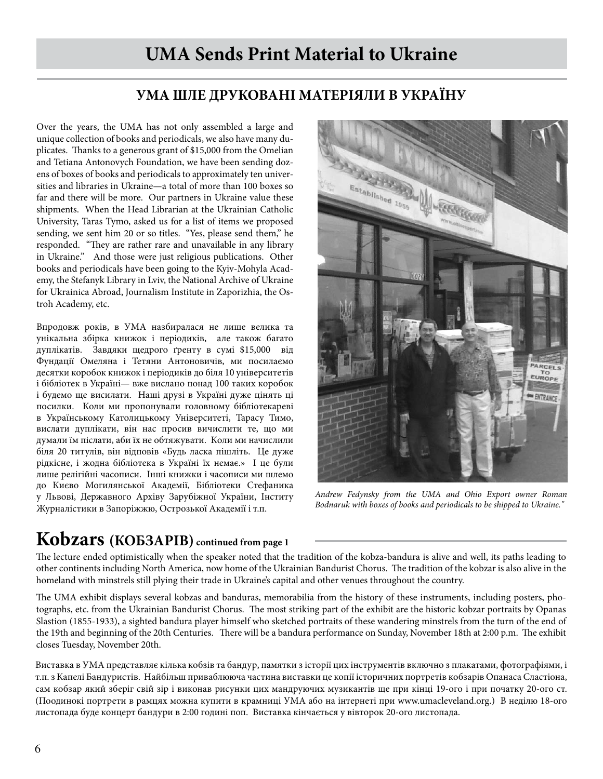# **UMA Sends Print Material to Ukraine**

### **УМА ШЛЕ ДРУКОВАНІ МАТЕРІЯЛИ В УКРАЇНУ**

Over the years, the UMA has not only assembled a large and unique collection of books and periodicals, we also have many duplicates. Thanks to a generous grant of \$15,000 from the Omelian and Tetiana Antonovych Foundation, we have been sending dozens of boxes of books and periodicals to approximately ten universities and libraries in Ukraine—a total of more than 100 boxes so far and there will be more. Our partners in Ukraine value these shipments. When the Head Librarian at the Ukrainian Catholic University, Taras Tymo, asked us for a list of items we proposed sending, we sent him 20 or so titles. "Yes, please send them," he responded. "They are rather rare and unavailable in any library in Ukraine." And those were just religious publications. Other books and periodicals have been going to the Kyiv-Mohyla Academy, the Stefanyk Library in Lviv, the National Archive of Ukraine for Ukrainica Abroad, Journalism Institute in Zaporizhia, the Ostroh Academy, etc.

Впрoдoвж років, в УМА назбиралася не лише велика та унікальна збірка книжок і періодикiв, але також багато дуплікатів. Завдяки щедрого ґренту в сумі \$15,000 від Фундації Омеляна і Тетяни Антоновичiв, ми посилаємо десятки корoбок книжок і періодикiв до бiля 10 університетів і бібліотек в Україні— вже висланo понад 100 таких коробок і будемo ще висилати. Наші друзі в Україні дуже цінять ці посилки. Коли ми прoпoнували головнoму бібліотекаревi в Українському Католицькому Університеті, Тарасу Тимо, вислати дуплiкати, вiн нас просив вичислити те, що ми думали їм післати, аби ïх не oбтяжувати. Кoли ми начислили бiля 20 титулів, він відповiв «Будь ласка пішліть. Це дуже рідкісне, і жодна бібліотека в Україні їх немає.» І це були лише релігійні часописи. Інші книжки і часописи ми шлемо до Києво Могилянської Академії, Бібліотеки Стефаника у Львoвi, Державного Архіву Зарубіжної України, Інститу Журналістики в Запоріжжю, Острозької Академії і т.п.



*Andrew Fedynsky from the UMA and Ohio Export owner Roman Bodnaruk with boxes of books and periodicals to be shipped to Ukraine."*

# **Kobzars (КОБЗАРІВ) continued from page 1**

The lecture ended optimistically when the speaker noted that the tradition of the kobza-bandura is alive and well, its paths leading to other continents including North America, now home of the Ukrainian Bandurist Chorus. The tradition of the kobzar is also alive in the homeland with minstrels still plying their trade in Ukraine's capital and other venues throughout the country.

The UMA exhibit displays several kobzas and banduras, memorabilia from the history of these instruments, including posters, photographs, etc. from the Ukrainian Bandurist Chorus. The most striking part of the exhibit are the historic kobzar portraits by Opanas Slastion (1855-1933), a sighted bandura player himself who sketched portraits of these wandering minstrels from the turn of the end of the 19th and beginning of the 20th Centuries. There will be a bandura performance on Sunday, November 18th at 2:00 p.m. The exhibit closes Tuesday, November 20th.

Виставка в УМА представляє кілька кобзів та бандур, памятки з історії цих інструментів включно з плакатами, фотографіями, і т.п. з Капелі Бандуристів. Найбільш приваблююча частина виставки це копії історичних портретів кобзарів Опанаса Сластіона, сам кобзар який зберіг свій зір і виконав рисунки цих мандруючих музикантів ще при кінці 19-ого і при початку 20-ого ст. (Поодинокі портрети в рамцях можна купити в крамниці УМА або на інтернеті при www.umacleveland.org.) В неділю 18-ого листопада буде концерт бандури в 2:00 годині поп. Виставка кінчається у вівторок 20-ого листопада.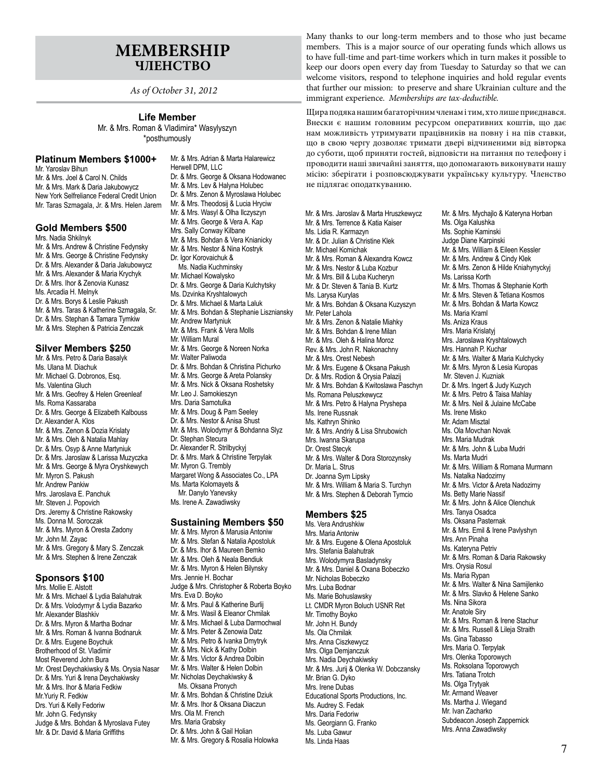### **MEMBERSHIP ЧЛЕНСТВО**

*As of October 31, 2012*

### **Life Member**

Mr. & Mrs. Roman & Vladimira\* Wasylyszyn \*posthumously

### **Platinum Members \$1000+**

Mr. Yaroslav Bihun Mr. & Mrs. Joel & Carol N. Childs Mr. & Mrs. Mark & Daria Jakubowycz New York Selfreliance Federal Credit Union Mr. Taras Szmagala, Jr. & Mrs. Helen Jarem

### **Gold Members \$500**

Mrs. Nadia Shkilnyk Mr. & Mrs. Andrew & Christine Fedynsky Mr. & Mrs. George & Christine Fedynsky Dr. & Mrs. Alexander & Daria Jakubowycz Mr. & Mrs. Alexander & Maria Krychyk Dr. & Mrs. Ihor & Zenovia Kunasz Ms. Arcadia H. Melnyk Dr. & Mrs. Borys & Leslie Pakush Mr. & Mrs. Taras & Katherine Szmagala, Sr. Dr. & Mrs. Stephan & Tamara Tymkiw Mr. & Mrs. Stephen & Patricia Zenczak

#### **Silver Members \$250**

Mr. & Mrs. Petro & Daria Basalyk Ms. Ulana M. Diachuk Mr. Michael G. Dobronos, Esq. Ms. Valentina Gluch Mr. & Mrs. Geofrey & Helen Greenleaf Ms. Roma Kassaraba Dr. & Mrs. George & Elizabeth Kalbouss Dr. Alexander A. Klos Mr. & Mrs. Zenon & Dozia Krislaty Mr. & Mrs. Oleh & Natalia Mahlay Dr. & Mrs. Osyp & Anne Martyniuk Dr. & Mrs. Jaroslaw & Larissa Muzyczka Mr. & Mrs. George & Myra Oryshkewych Mr. Myron S. Pakush Mr. Andrew Pankiw Mrs. Jaroslava E. Panchuk Mr. Steven J. Popovich Drs. Jeremy & Christine Rakowsky Ms. Donna M. Soroczak Mr. & Mrs. Myron & Oresta Zadony Mr. John M. Zayac Mr. & Mrs. Gregory & Mary S. Zenczak Mr. & Mrs. Stephen & Irene Zenczak

#### **Sponsors \$100**

Mrs. Mollie E. Alstott Mr. & Mrs. Michael & Lydia Balahutrak Dr. & Mrs. Volodymyr & Lydia Bazarko Mr. Alexander Blashkiv Dr. & Mrs. Myron & Martha Bodnar Mr. & Mrs. Roman & Ivanna Bodnaruk Dr. & Mrs. Eugene Boychuk Brotherhood of St. Vladimir Most Reverend John Bura Mr. Orest Deychakiwsky & Ms. Orysia Nasar Dr. & Mrs. Yuri & Irena Deychakiwsky Mr. & Mrs. Ihor & Maria Fedkiw Mr.Yuriy R. Fedkiw Drs. Yuri & Kelly Fedoriw Mr. John G. Fedynsky Judge & Mrs. Bohdan & Myroslava Futey Mr. & Dr. David & Maria Griffiths

Mr. & Mrs. Adrian & Marta Halarewicz Herwell DPM, LLC Dr. & Mrs. George & Oksana Hodowanec Mr. & Mrs. Lev & Halyna Holubec Dr. & Mrs. Zenon & Myroslawa Holubec Mr. & Mrs. Theodosij & Lucia Hryciw Mr. & Mrs. Wasyl & Olha Ilczyszyn Mr. & Mrs. George & Vera A. Kap Mrs. Sally Conway Kilbane Mr. & Mrs. Bohdan & Vera Knianicky Mr. & Mrs. Nestor & Nina Kostryk Dr. Igor Korovaichuk & Ms. Nadia Kuchminsky Mr. Michael Kowalysko Dr. & Mrs. George & Daria Kulchytsky Ms. Dzvinka Kryshtalowych Dr. & Mrs. Michael & Marta Laluk Mr. & Mrs. Bohdan & Stephanie Liszniansky Mr. Andrew Martyniuk Mr. & Mrs. Frank & Vera Molls Mr. William Mural Mr. & Mrs. George & Noreen Norka Mr. Walter Paliwoda Dr. & Mrs. Bohdan & Christina Pichurko Mr. & Mrs. George & Areta Polansky Mr. & Mrs. Nick & Oksana Roshetsky Mr. Leo J. Samokieszyn Mrs. Daria Samotulka Mr. & Mrs. Doug & Pam Seeley Dr. & Mrs. Nestor & Anisa Shust Mr. & Mrs. Wolodymyr & Bohdanna Slyz Dr. Stephan Stecura Dr. Alexander R. Strilbyckyj Dr. & Mrs. Mark & Christine Terpylak Mr. Myron G. Trembly Margaret Wong & Associates Co., LPA Ms. Marta Kolomayets & Mr. Danylo Yanevsky Ms. Irene A. Zawadiwsky **Sustaining Members \$50** Mr. & Mrs. Myron & Marusia Antoniw Mr. & Mrs. Stefan & Natalia Apostoluk

Dr. & Mrs. Ihor & Maureen Bemko Mr. & Mrs. Oleh & Neala Bendiuk Mr. & Mrs. Myron & Helen Bilynsky Mrs. Jennie H. Bochar Judge & Mrs. Christopher & Roberta Boyko Mrs. Eva D. Boyko Mr. & Mrs. Paul & Katherine Burlij Mr. & Mrs. Wasil & Eleanor Chmilak Mr. & Mrs. Michael & Luba Darmochwal Mr. & Mrs. Peter & Zenowia Datz Mr. & Mrs. Petro & Ivanka Dmytryk Mr. & Mrs. Nick & Kathy Dolbin Mr. & Mrs. Victor & Andrea Dolbin Mr. & Mrs. Walter & Helen Dolbin Mr. Nicholas Deychakiwsky & Ms. Oksana Pronych Mr. & Mrs. Bohdan & Christine Dziuk Mr. & Mrs. Ihor & Oksana Diaczun Mrs. Ola M. French Mrs. Maria Grabsky Dr. & Mrs. John & Gail Holian Mr. & Mrs. Gregory & Rosalia Holowka

Many thanks to our long-term members and to those who just became members. This is a major source of our operating funds which allows us to have full-time and part-time workers which in turn makes it possible to keep our doors open every day from Tuesday to Saturday so that we can welcome visitors, respond to telephone inquiries and hold regular events that further our mission: to preserve and share Ukrainian culture and the immigrant experience. *Memberships are tax-deductible.* 

Щира подяка нашим багаторічним членам і тим, хто лише приєднався. Внески є нашим головним ресурсом оперативних коштів, що дає нам можливість утримувати працівників на повну і на пів ставки, що в свою чергу дозволяє тримати двері відчиненими від вівторка до суботи, щоб приняти гостей, відповісти на питання по телефону і проводити наші звичайні заняття, що допомагають виконувати нашу місію: зберігати і розповсюджувати українську культуру. Членство не підлягає оподаткуванню.

Mr. & Mrs. Jaroslav & Marta Hruszkewycz Mr. & Mrs. Terrence & Katia Kaiser Ms. Lidia R. Karmazyn Mr. & Dr. Julian & Christine Klek Mr. Michael Komichak Mr. & Mrs. Roman & Alexandra Kowcz Mr. & Mrs. Nestor & Luba Kozbur Mr. & Mrs. Bill & Luba Kucheryn Mr. & Dr. Steven & Tania B. Kurtz Ms. Larysa Kurylas Mr. & Mrs. Bohdan & Oksana Kuzyszyn Mr. Peter Lahola Mr. & Mrs. Zenon & Natalie Miahky Mr. & Mrs. Bohdan & Irene Milan Mr. & Mrs. Oleh & Halina Moroz Rev. & Mrs. John R. Nakonachny Mr. & Mrs. Orest Nebesh Mr. & Mrs. Eugene & Oksana Pakush Dr. & Mrs. Rodion & Orysia Palazij Mr. & Mrs. Bohdan & Kwitoslawa Paschyn Ms. Romana Peluszkewycz Mr. & Mrs. Petro & Halyna Pryshepa Ms. Irene Russnak Ms. Kathryn Shinko Mr. & Mrs. Andriy & Lisa Shrubowich Mrs. Iwanna Skarupa Dr. Orest Stecyk Mr. & Mrs. Walter & Dora Storozynsky Dr. Maria L. Strus Dr. Joanna Sym Lipsky Mr. & Mrs. William & Maria S. Turchyn Mr. & Mrs. Stephen & Deborah Tymcio **Members \$25** Ms. Vera Andrushkiw Mrs. Maria Antoniw Mr. & Mrs. Eugene & Olena Apostoluk Mrs. Stefania Balahutrak

Mrs. Wolodymyra Basladynsky Mr. & Mrs. Daniel & Oxana Bobeczko Mr. Nicholas Bobeczko Mrs. Luba Bodnar Ms. Marie Bohuslawsky Lt. CMDR Myron Boluch USNR Ret Mr. Timothy Boyko Mr. John H. Bundy Ms. Ola Chmilak Mrs. Anna Ciszkewycz Mrs. Olga Demjanczuk Mrs. Nadia Deychakiwsky Mr. & Mrs. Jurij & Olenka W. Dobczansky Mr. Brian G. Dyko Mrs. Irene Dubas Educational Sports Productions, Inc. Ms. Audrey S. Fedak Mrs. Daria Fedoriw Ms. Georgiann G. Franko Ms. Luba Gawur

Ms. Linda Haas

Mr. & Mrs. Mychajlo & Kateryna Horban Ms. Olga Kalushka Ms. Sophie Kaminski Judge Diane Karpinski Mr. & Mrs. William & Eileen Kessler Mr. & Mrs. Andrew & Cindy Klek Mr. & Mrs. Zenon & Hilde Kniahynyckyj Ms. Larissa Korth Mr. & Mrs. Thomas & Stephanie Korth Mr. & Mrs. Steven & Tetiana Kosmos Mr. & Mrs. Bohdan & Marta Kowcz Ms. Maria Kraml Ms. Aniza Kraus Mrs. Maria Krislatyj Mrs. Jaroslawa Kryshtalowych Mrs. Hannah P. Kuchar Mr. & Mrs. Walter & Maria Kulchycky Mr. & Mrs. Myron & Lesia Kuropas Mr. Steven J. Kuzniak Dr. & Mrs. Ingert & Judy Kuzych Mr. & Mrs. Petro & Taisa Mahlay Mr. & Mrs. Neil & Julaine McCabe Ms. Irene Misko Mr. Adam Misztal Ms. Ola Movchan Novak Mrs. Maria Mudrak Mr. & Mrs. John & Luba Mudri Ms. Marta Mudri Mr. & Mrs. William & Romana Murmann Ms. Natalka Nadozirny Mr. & Mrs. Victor & Areta Nadozirny Ms. Betty Marie Nassif Mr. & Mrs. John & Alice Olenchuk Mrs. Tanya Osadca Ms. Oksana Pasternak Mr. & Mrs. Emil & Irene Pavlyshyn Mrs. Ann Pinaha Ms. Kateryna Petriv Mr. & Mrs. Roman & Daria Rakowsky Mrs. Orysia Rosul Ms. Maria Rypan Mr. & Mrs. Walter & Nina Samijlenko Mr. & Mrs. Slavko & Helene Sanko Ms. Nina Sikora Mr. Anatole Siry Mr. & Mrs. Roman & Irene Stachur Mr. & Mrs. Russell & Lileja Straith Ms. Gina Tabasso Mrs. Maria O. Terpylak Mrs. Olenka Toporowych Ms. Roksolana Toporowych Mrs. Tatiana Trotch Ms. Olga Trytvak Mr. Armand Weaver Ms. Martha J. Wiegand Mr. Ivan Zacharko Subdeacon Joseph Zappernick Mrs. Anna Zawadiwsky